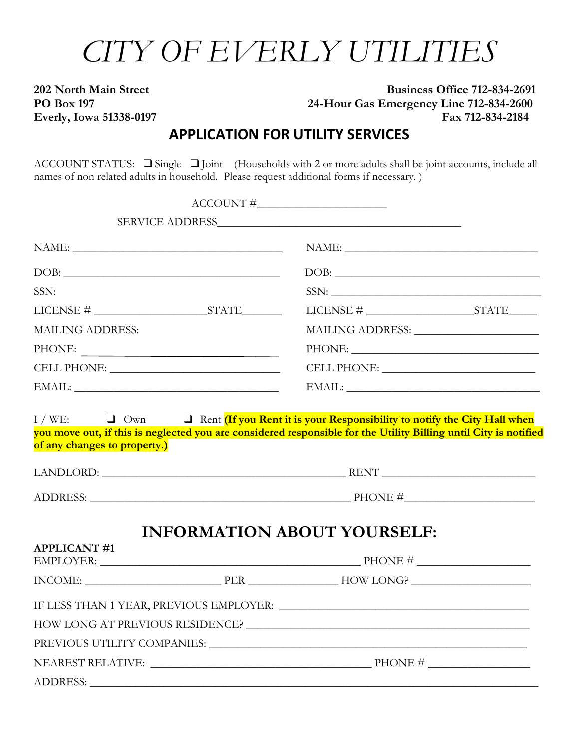# *CITY OF EVERLY UTILITIES*

# **202 North Main Street Business Office 712-834-2691 PO Box 197 24-Hour Gas Emergency Line 712-834-2600 Everly, Iowa 51338-0197 Fax 712-834-2184**

# **APPLICATION FOR UTILITY SERVICES**

ACCOUNT STATUS: ❑Single ❑Joint (Households with 2 or more adults shall be joint accounts, include all names of non related adults in household. Please request additional forms if necessary. )

|                                                                                                                                                                                                                               | $\begin{tabular}{c} ACCOUNT\# \underline{\hspace{1cm}} \hspace{1cm} \underline{\hspace{1cm}} \end{tabular}$ |  |  |
|-------------------------------------------------------------------------------------------------------------------------------------------------------------------------------------------------------------------------------|-------------------------------------------------------------------------------------------------------------|--|--|
|                                                                                                                                                                                                                               |                                                                                                             |  |  |
| $\label{eq:naive} \text{NAME:}\underbrace{\hspace{2cm}}$                                                                                                                                                                      | NAME:                                                                                                       |  |  |
| DOB:                                                                                                                                                                                                                          | DOB:                                                                                                        |  |  |
| SSN:                                                                                                                                                                                                                          | SSN:                                                                                                        |  |  |
| $\text{LICENSE} \# \_\_\_\_\_ \text{STATE} \_\_\_\_\_$                                                                                                                                                                        | $\text{LICENSE} \# \_\_\_\_\_\_\_ \text{STATE}\_\_\_\_\_\_\$                                                |  |  |
| <b>MAILING ADDRESS:</b>                                                                                                                                                                                                       |                                                                                                             |  |  |
| $\begin{tabular}{c} {\bf PHONE:} \end{tabular}$                                                                                                                                                                               |                                                                                                             |  |  |
|                                                                                                                                                                                                                               | $\begin{tabular}{c} \bf CELL PHONE: \end{tabular}$                                                          |  |  |
| $\text{EMAIL:}\underbrace{\hspace{2cm}}$                                                                                                                                                                                      | $\text{EMAIL:}\underbrace{\hspace{2.5cm}}_{\text{1.15}}$                                                    |  |  |
|                                                                                                                                                                                                                               |                                                                                                             |  |  |
|                                                                                                                                                                                                                               | $ADDRESS: \_\_\_\_\_\_\_$ PHONE # $\_\_\_\_\_\_\_\_\_\_$                                                    |  |  |
| <b>APPLICANT#1</b>                                                                                                                                                                                                            | <b>INFORMATION ABOUT YOURSELF:</b>                                                                          |  |  |
| $EMPLOYER:$ PHONE #                                                                                                                                                                                                           |                                                                                                             |  |  |
| $INCOME:$ $PER$ $HOW LONG?$ $MONG$                                                                                                                                                                                            |                                                                                                             |  |  |
|                                                                                                                                                                                                                               |                                                                                                             |  |  |
|                                                                                                                                                                                                                               |                                                                                                             |  |  |
| PREVIOUS UTILITY COMPANIES: University of the Companison of the Companison of the Companison of the Companison of the Companison of the Companison of the Companison of the Companison of the Companison of the Companison of |                                                                                                             |  |  |
|                                                                                                                                                                                                                               |                                                                                                             |  |  |
| <b>ADDRESS:</b>                                                                                                                                                                                                               |                                                                                                             |  |  |